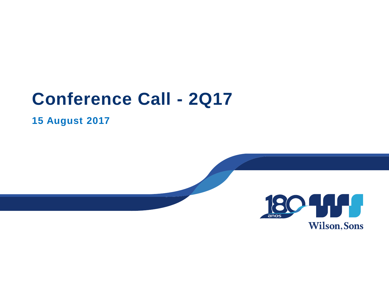# **Conference Call - 2Q17**

**15 August 2017**

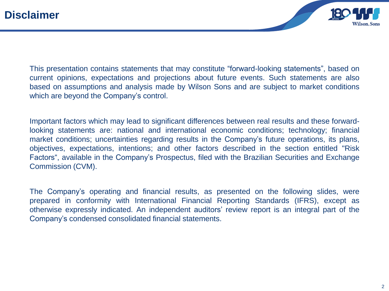

This presentation contains statements that may constitute "forward-looking statements", based on current opinions, expectations and projections about future events. Such statements are also based on assumptions and analysis made by Wilson Sons and are subject to market conditions which are beyond the Company's control.

Important factors which may lead to significant differences between real results and these forwardlooking statements are: national and international economic conditions; technology; financial market conditions; uncertainties regarding results in the Company's future operations, its plans, objectives, expectations, intentions; and other factors described in the section entitled "Risk Factors", available in the Company's Prospectus, filed with the Brazilian Securities and Exchange Commission (CVM).

The Company's operating and financial results, as presented on the following slides, were prepared in conformity with International Financial Reporting Standards (IFRS), except as otherwise expressly indicated. An independent auditors' review report is an integral part of the Company's condensed consolidated financial statements.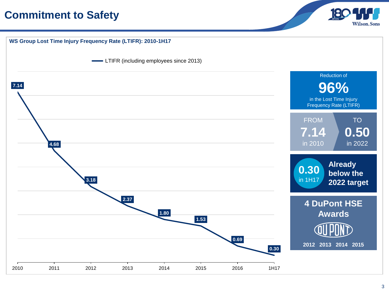#### **Commitment to Safety**



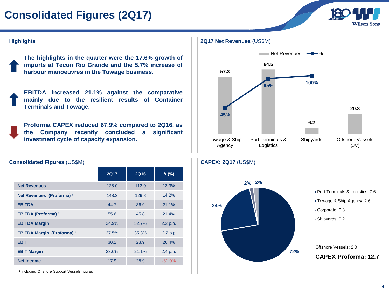### **Consolidated Figures (2Q17)**



#### **Highlights**

**The highlights in the quarter were the 17.6% growth of imports at Tecon Rio Grande and the 5.7% increase of harbour manoeuvres in the Towage business.**

**EBITDA increased 21.1% against the comparative mainly due to the resilient results of Container Terminals and Towage.**

**Proforma CAPEX reduced 67.9% compared to 2Q16, as the Company recently concluded a significant investment cycle of capacity expansion.**





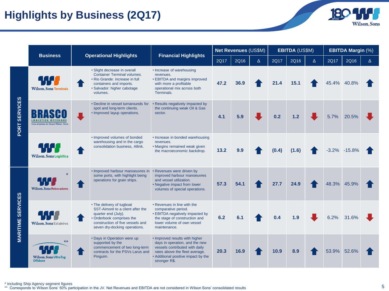#### **Highlights by Business (2Q17)**



|                          | <b>Business</b>                                                |                                                                                                                                                                                        | <b>Financial Highlights</b>                                                                                                                                                                  | <b>Net Revenues (US\$M)</b> |      |          | <b>EBITDA (US\$M)</b> |       | <b>EBITDA Margin (%)</b> |             |                  |   |
|--------------------------|----------------------------------------------------------------|----------------------------------------------------------------------------------------------------------------------------------------------------------------------------------------|----------------------------------------------------------------------------------------------------------------------------------------------------------------------------------------------|-----------------------------|------|----------|-----------------------|-------|--------------------------|-------------|------------------|---|
|                          |                                                                | <b>Operational Highlights</b>                                                                                                                                                          |                                                                                                                                                                                              | 2Q17                        | 2Q16 | $\Delta$ | 2Q17                  | 2Q16  | $\Delta$                 | 2Q17        | 2Q16             | Δ |
| PORT SERVICES            | . T. T. T<br><b>Wilson, Sons Terminais</b>                     | • Slight decrease in overall<br><b>Container Terminal volumes.</b><br>• Rio Grande: increase in full<br>containers and imports.<br>· Salvador: higher cabotage<br>volumes.             | • Increase of warehousing<br>revenues.<br>• EBITDA and margins improved<br>with more a profitable<br>operational mix across both<br>Terminals.                                               | 47.2                        | 36.9 |          | 21.4                  | 15.1  |                          | 45.4% 40.8% |                  |   |
|                          | <b>LOGISTICA OFFSHORE</b><br>Uma empresa do Grupo Wilson, Sons | • Decline in vessel turnarounds for<br>spot and long-term clients.<br>• Improved layup operations.                                                                                     | • Results negatively impacted by<br>the continuing weak Oil & Gas<br>sector.                                                                                                                 | 4.1                         | 5.9  |          | 0.2                   | 1.2   |                          | 5.7%        | 20.5%            |   |
|                          | <b>ANTI</b><br>Wilson, Sons Logística                          | • Improved volumes of bonded<br>warehousing and in the cargo<br>consolidation business, Allink.                                                                                        | • Increase in bonded warehousing<br>revenues.<br>• Margins remained weak given<br>the macroeconomic backdrop.                                                                                | 13.2                        | 9.9  |          | (0.4)                 | (1.6) |                          |             | $-3.2\% -15.8\%$ |   |
| <b>MARITIME SERVICES</b> | <b>Wilson, Sons Rebocadores</b>                                | · Improved harbour manoeuvres in<br>some ports, with highlight being<br>operations for grain ships.                                                                                    | • Revenues were driven by<br>improved harbour manoeuvres<br>and vessel utilization.<br>• Negative impact from lower<br>volumes of special operations.                                        | 57.3                        | 54.1 |          | 27.7                  | 24.9  |                          | 48.3%       | 45.9%            |   |
|                          | <b>Wilson, Sons Estaleiros</b>                                 | • The delivery of tugboat<br>SST-Aimoré to a client after the<br>quarter end (July).<br>· Orderbook comprises the<br>construction of five vessels and<br>seven dry-docking operations. | • Revenues in line with the<br>comparative period.<br>• EBITDA negatively impacted by<br>the stage of construction and<br>lower volume of own vessel<br>maintenance.                         | 6.2                         | 6.1  |          | 0.4                   | 1.9   |                          | 6.2%        | 31.6%            |   |
|                          | $***$<br><b>Wilson, Sons UltraTug</b><br><b>Offshore</b>       | • Days in Operation were up<br>supported by the<br>commencement of two long-term<br>contracts for the PSVs Larus and<br>Pinguim.                                                       | • Improved results with higher<br>days in operation, and the new<br>vessels contributed with daily<br>rates above the fleet average.<br>• Additional positive impact by the<br>stronger R\$. | 20.3                        | 16.9 |          | 10.9                  | 8.9   |                          | 53.9%       | 52.6%            |   |

\* Including Ship Agency segment figures<br>\*\* Corresponds to Wilson Sons' 50% participation in the JV. Net Revenues and EBITDA are not considered in Wilson Sons' consolidated results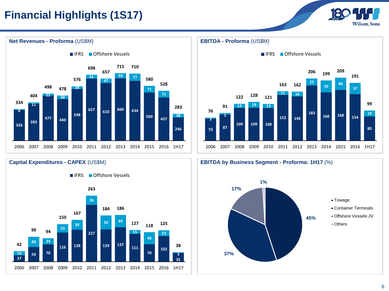### **Financial Highlights (1S17)**

**Net Revenues - Proforma** (US\$M)







 **440 <sup>610</sup> <sup>660</sup> <sup>634</sup> <sup>457</sup> <sup>38</sup> 478** 2007 2008 2009 2010 2011 2012 2013 2014 2015 2016 1H17

**IFRS** Offshore Vessels

**77**

**710**

**Capital Expenditures - CAPEX** (US\$M)

**128**

**137**

**49**

**186**

**70**

**24**

**94**

**Wilson.Sons**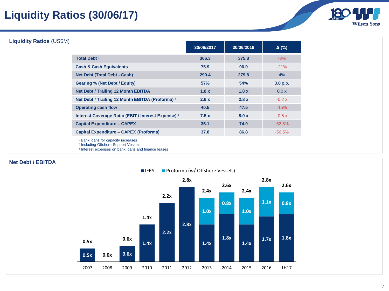### **Liquidity Ratios (30/06/17)**



#### **Liquidity Ratios** (US\$M)

| ן וטוע |                                                     | 30/06/2017 | 30/06/2016 | $\Delta$ (%)  |
|--------|-----------------------------------------------------|------------|------------|---------------|
|        | <b>Total Debt 1</b>                                 | 366.3      | 375.8      | $-3%$         |
|        | <b>Cash &amp; Cash Equivalents</b>                  | 75.9       | 96.0       | $-21%$        |
|        | <b>Net Debt (Total Debt - Cash)</b>                 | 290.4      | 279.8      | 4%            |
|        | <b>Gearing % (Net Debt / Equity)</b>                | 57%        | 54%        | 3.0 p.p.      |
|        | <b>Net Debt / Trailing 12 Month EBITDA</b>          | 1.8x       | 1.8x       | 0.0 x         |
|        | Net Debt / Trailing 12 Month EBITDA (Proforma) 2    | 2.6x       | 2.8x       | $-0.2 \times$ |
|        | <b>Operating cash flow</b>                          | 40.5       | 47.5       | $-15%$        |
|        | Interest Coverage Ratio (EBIT / Interest Expense) 3 | 7.5x       | 8.0 x      | $-0.5 \times$ |
|        | <b>Capital Expenditure - CAPEX</b>                  | 35.1       | 74.0       | $-52.5%$      |
|        | <b>Capital Expenditure - CAPEX (Proforma)</b>       | 37.8       | 86.8       | $-56.5%$      |
|        |                                                     |            |            |               |

<sup>1</sup> Bank loans for capacity increases

<sup>2</sup> Including Offshore Support Vessels

3 Interest expenses on bank loans and finance leases

#### **Net Debt / EBITDA**

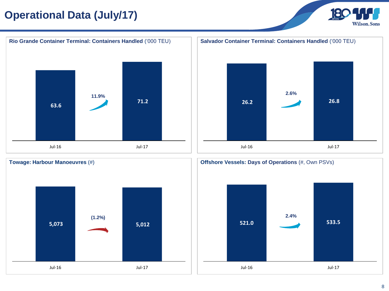### **Operational Data (July/17)**







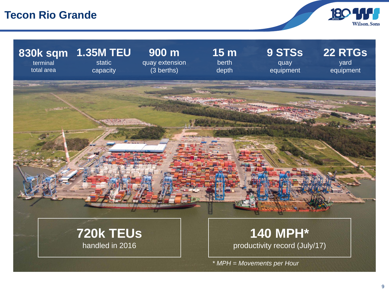#### **Tecon Rio Grande**